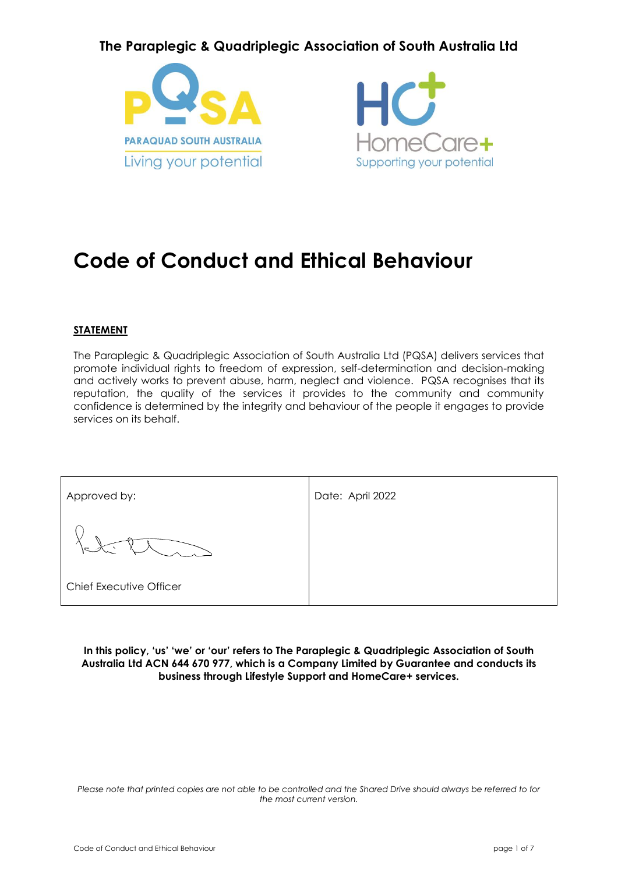### **The Paraplegic & Quadriplegic Association of South Australia Ltd**





# **Code of Conduct and Ethical Behaviour**

#### **STATEMENT**

The Paraplegic & Quadriplegic Association of South Australia Ltd (PQSA) delivers services that promote individual rights to freedom of expression, self-determination and decision-making and actively works to prevent abuse, harm, neglect and violence. PQSA recognises that its reputation, the quality of the services it provides to the community and community confidence is determined by the integrity and behaviour of the people it engages to provide services on its behalf.

| Approved by:                   | Date: April 2022 |
|--------------------------------|------------------|
|                                |                  |
| <b>Chief Executive Officer</b> |                  |

**In this policy, 'us' 'we' or 'our' refers to The Paraplegic & Quadriplegic Association of South Australia Ltd ACN 644 670 977, which is a Company Limited by Guarantee and conducts its business through Lifestyle Support and HomeCare+ services.**

*Please note that printed copies are not able to be controlled and the Shared Drive should always be referred to for the most current version.*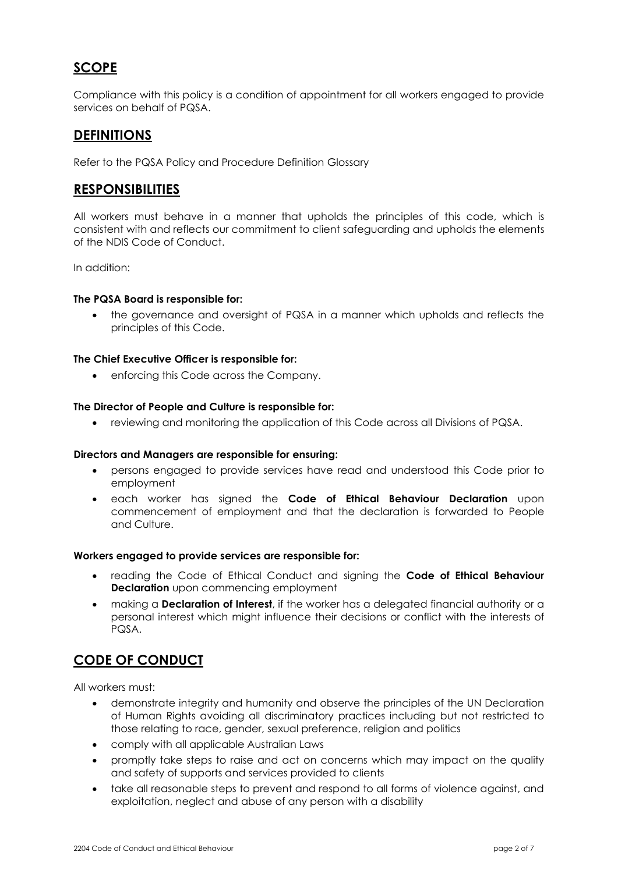### **SCOPE**

Compliance with this policy is a condition of appointment for all workers engaged to provide services on behalf of PQSA.

#### **DEFINITIONS**

Refer to the PQSA Policy and Procedure Definition Glossary

#### **RESPONSIBILITIES**

All workers must behave in a manner that upholds the principles of this code, which is consistent with and reflects our commitment to client safeguarding and upholds the elements of the NDIS Code of Conduct.

In addition:

#### **The PQSA Board is responsible for:**

• the governance and oversight of PQSA in a manner which upholds and reflects the principles of this Code.

#### **The Chief Executive Officer is responsible for:**

• enforcing this Code across the Company.

#### **The Director of People and Culture is responsible for:**

• reviewing and monitoring the application of this Code across all Divisions of PQSA.

#### **Directors and Managers are responsible for ensuring:**

- persons engaged to provide services have read and understood this Code prior to employment
- each worker has signed the **Code of Ethical Behaviour Declaration** upon commencement of employment and that the declaration is forwarded to People and Culture.

#### **Workers engaged to provide services are responsible for:**

- reading the Code of Ethical Conduct and signing the **Code of Ethical Behaviour Declaration** upon commencing employment
- making a **Declaration of Interest**, if the worker has a delegated financial authority or a personal interest which might influence their decisions or conflict with the interests of PQSA.

### **CODE OF CONDUCT**

All workers must:

- demonstrate integrity and humanity and observe the principles of the UN Declaration of Human Rights avoiding all discriminatory practices including but not restricted to those relating to race, gender, sexual preference, religion and politics
- comply with all applicable Australian Laws
- promptly take steps to raise and act on concerns which may impact on the quality and safety of supports and services provided to clients
- take all reasonable steps to prevent and respond to all forms of violence against, and exploitation, neglect and abuse of any person with a disability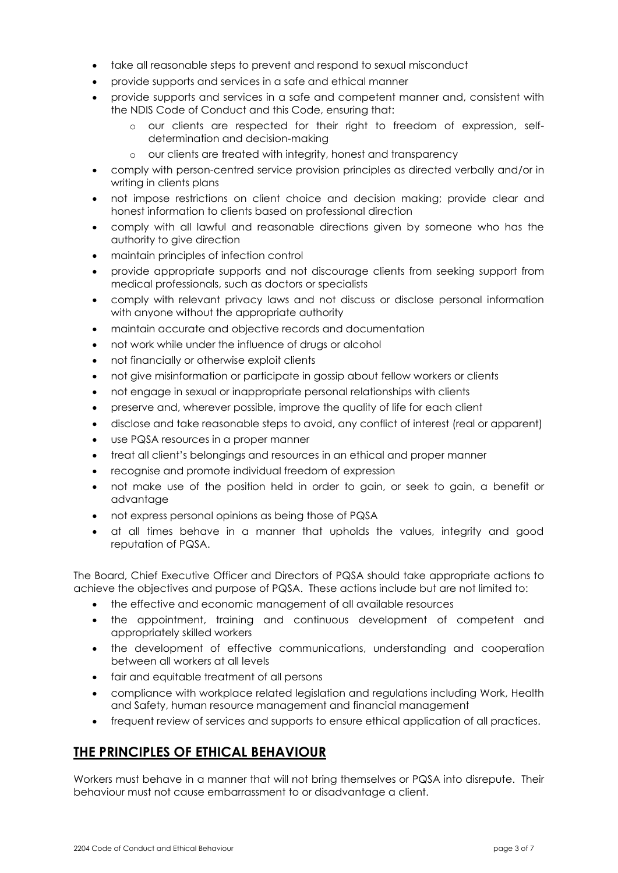- take all reasonable steps to prevent and respond to sexual misconduct
- provide supports and services in a safe and ethical manner
- provide supports and services in a safe and competent manner and, consistent with the NDIS Code of Conduct and this Code, ensuring that:
	- o our clients are respected for their right to freedom of expression, selfdetermination and decision-making
	- o our clients are treated with integrity, honest and transparency
- comply with person-centred service provision principles as directed verbally and/or in writing in clients plans
- not impose restrictions on client choice and decision making; provide clear and honest information to clients based on professional direction
- comply with all lawful and reasonable directions given by someone who has the authority to give direction
- maintain principles of infection control
- provide appropriate supports and not discourage clients from seeking support from medical professionals, such as doctors or specialists
- comply with relevant privacy laws and not discuss or disclose personal information with anyone without the appropriate authority
- maintain accurate and objective records and documentation
- not work while under the influence of drugs or alcohol
- not financially or otherwise exploit clients
- not give misinformation or participate in gossip about fellow workers or clients
- not engage in sexual or inappropriate personal relationships with clients
- preserve and, wherever possible, improve the quality of life for each client
- disclose and take reasonable steps to avoid, any conflict of interest (real or apparent)
- use PQSA resources in a proper manner
- treat all client's belongings and resources in an ethical and proper manner
- recognise and promote individual freedom of expression
- not make use of the position held in order to gain, or seek to gain, a benefit or advantage
- not express personal opinions as being those of PQSA
- at all times behave in a manner that upholds the values, integrity and good reputation of PQSA.

The Board, Chief Executive Officer and Directors of PQSA should take appropriate actions to achieve the objectives and purpose of PQSA. These actions include but are not limited to:

- the effective and economic management of all available resources
- the appointment, training and continuous development of competent and appropriately skilled workers
- the development of effective communications, understanding and cooperation between all workers at all levels
- fair and equitable treatment of all persons
- compliance with workplace related legislation and regulations including Work, Health and Safety, human resource management and financial management
- frequent review of services and supports to ensure ethical application of all practices.

### **THE PRINCIPLES OF ETHICAL BEHAVIOUR**

Workers must behave in a manner that will not bring themselves or PQSA into disrepute. Their behaviour must not cause embarrassment to or disadvantage a client.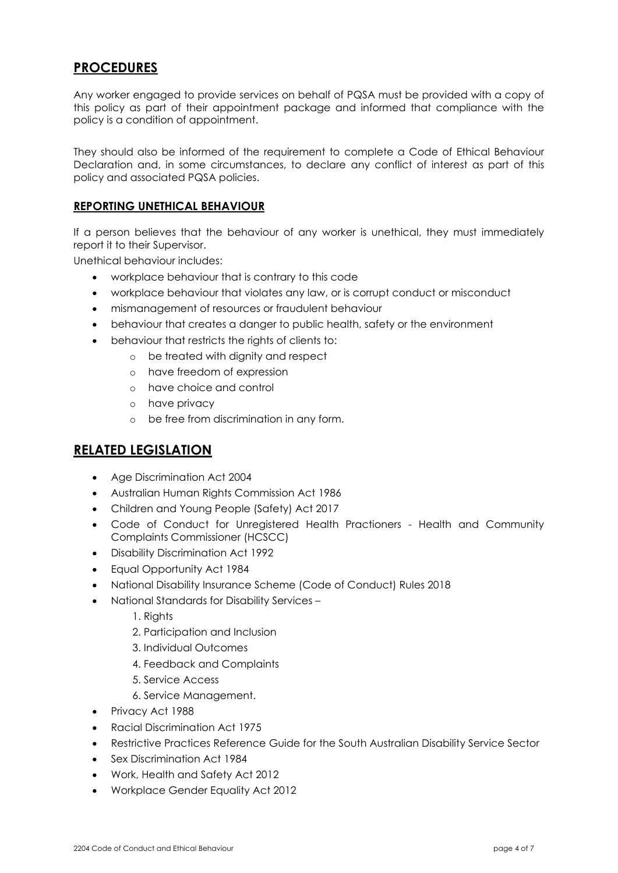### **PROCEDURES**

Any worker engaged to provide services on behalf of PQSA must be provided with a copy of this policy as part of their appointment package and informed that compliance with the policy is a condition of appointment.

They should also be informed of the requirement to complete a Code of Ethical Behaviour Declaration and, in some circumstances, to declare any conflict of interest as part of this policy and associated PQSA policies.

#### **REPORTING UNETHICAL BEHAVIOUR**

If a person believes that the behaviour of any worker is unethical, they must immediately report it to their Supervisor.

Unethical behaviour includes:

- workplace behaviour that is contrary to this code
- workplace behaviour that violates any law, or is corrupt conduct or misconduct
- mismanagement of resources or fraudulent behaviour
- behaviour that creates a danger to public health, safety or the environment
- behaviour that restricts the rights of clients to:
	- o be treated with dignity and respect
		- o have freedom of expression
		- o have choice and control
		- o have privacy
		- o be free from discrimination in any form.

#### **RELATED LEGISLATION**

- Age Discrimination Act 2004
- Australian Human Rights Commission Act 1986
- Children and Young People (Safety) Act 2017
- Code of Conduct for Unregistered Health Practioners Health and Community Complaints Commissioner (HCSCC)
- Disability Discrimination Act 1992
- Equal Opportunity Act 1984
- National Disability Insurance Scheme (Code of Conduct) Rules 2018
- National Standards for Disability Services
	- 1. Rights
	- 2. Participation and Inclusion
	- 3. Individual Outcomes
	- 4. Feedback and Complaints
	- 5. Service Access
	- 6. Service Management.
- Privacy Act 1988
- Racial Discrimination Act 1975
- Restrictive Practices Reference Guide for the South Australian Disability Service Sector
- Sex Discrimination Act 1984
- Work, Health and Safety Act 2012
- Workplace Gender Equality Act 2012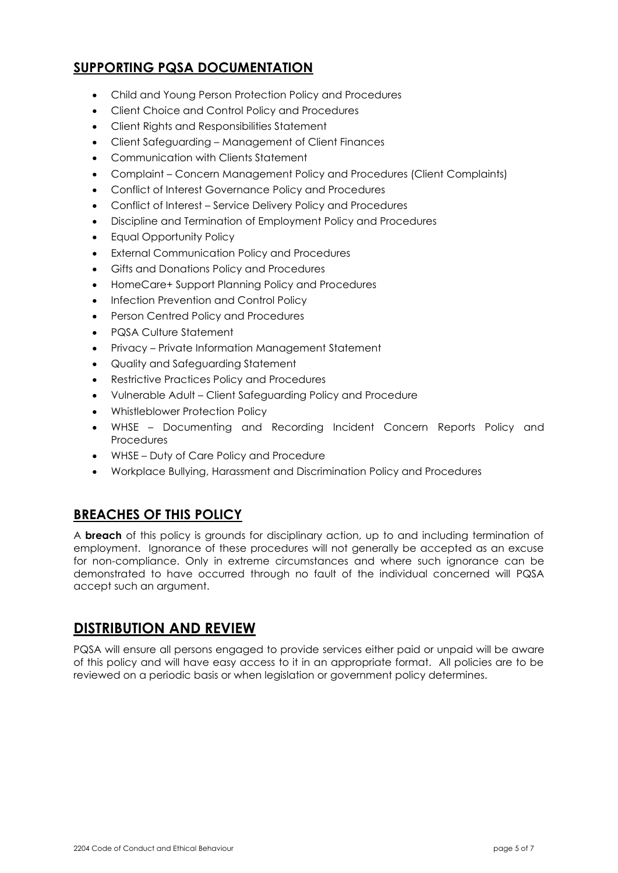### **SUPPORTING PQSA DOCUMENTATION**

- Child and Young Person Protection Policy and Procedures
- Client Choice and Control Policy and Procedures
- Client Rights and Responsibilities Statement
- Client Safeguarding Management of Client Finances
- Communication with Clients Statement
- Complaint Concern Management Policy and Procedures (Client Complaints)
- Conflict of Interest Governance Policy and Procedures
- Conflict of Interest Service Delivery Policy and Procedures
- Discipline and Termination of Employment Policy and Procedures
- Equal Opportunity Policy
- **External Communication Policy and Procedures**
- Gifts and Donations Policy and Procedures
- HomeCare+ Support Planning Policy and Procedures
- Infection Prevention and Control Policy
- Person Centred Policy and Procedures
- PQSA Culture Statement
- Privacy Private Information Management Statement
- Quality and Safeguarding Statement
- Restrictive Practices Policy and Procedures
- Vulnerable Adult Client Safeguarding Policy and Procedure
- Whistleblower Protection Policy
- WHSE Documenting and Recording Incident Concern Reports Policy and Procedures
- WHSE Duty of Care Policy and Procedure
- Workplace Bullying, Harassment and Discrimination Policy and Procedures

### **BREACHES OF THIS POLICY**

A **breach** of this policy is grounds for disciplinary action, up to and including termination of employment. Ignorance of these procedures will not generally be accepted as an excuse for non-compliance. Only in extreme circumstances and where such ignorance can be demonstrated to have occurred through no fault of the individual concerned will PQSA accept such an argument.

### **DISTRIBUTION AND REVIEW**

PQSA will ensure all persons engaged to provide services either paid or unpaid will be aware of this policy and will have easy access to it in an appropriate format. All policies are to be reviewed on a periodic basis or when legislation or government policy determines.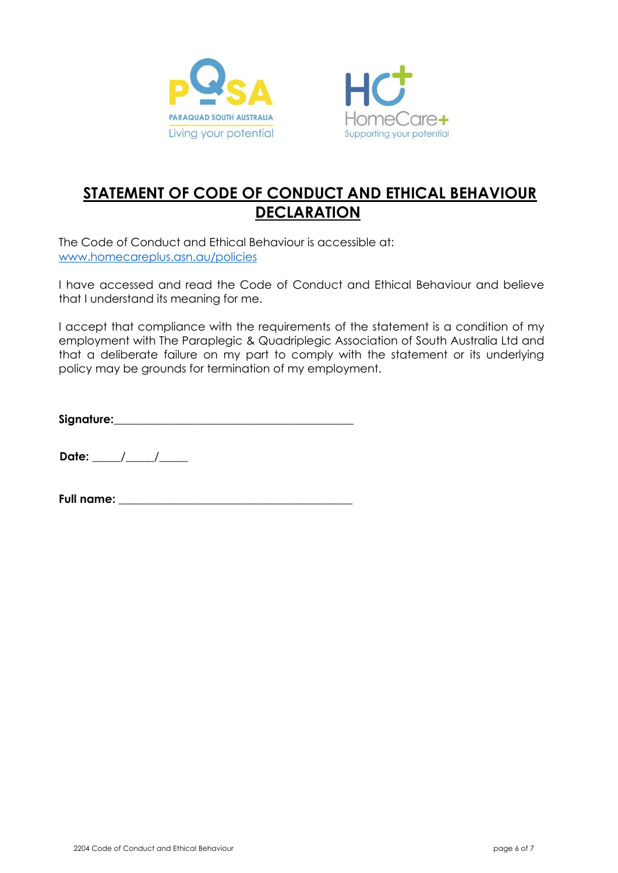



# **STATEMENT OF CODE OF CONDUCT AND ETHICAL BEHAVIOUR DECLARATION**

The Code of Conduct and Ethical Behaviour is accessible at: [www.homecareplus.asn.au/policies](http://www.homecareplus.asn.au/policies)

I have accessed and read the Code of Conduct and Ethical Behaviour and believe that I understand its meaning for me.

I accept that compliance with the requirements of the statement is a condition of my employment with The Paraplegic & Quadriplegic Association of South Australia Ltd and that a deliberate failure on my part to comply with the statement or its underlying policy may be grounds for termination of my employment.

**Signature:**\_\_\_\_\_\_\_\_\_\_\_\_\_\_\_\_\_\_\_\_\_\_\_\_\_\_\_\_\_\_\_\_\_\_\_\_\_\_\_\_\_\_

**Date:** \_\_\_\_\_/\_\_\_\_\_/\_\_\_\_\_

**Full name:** \_\_\_\_\_\_\_\_\_\_\_\_\_\_\_\_\_\_\_\_\_\_\_\_\_\_\_\_\_\_\_\_\_\_\_\_\_\_\_\_\_